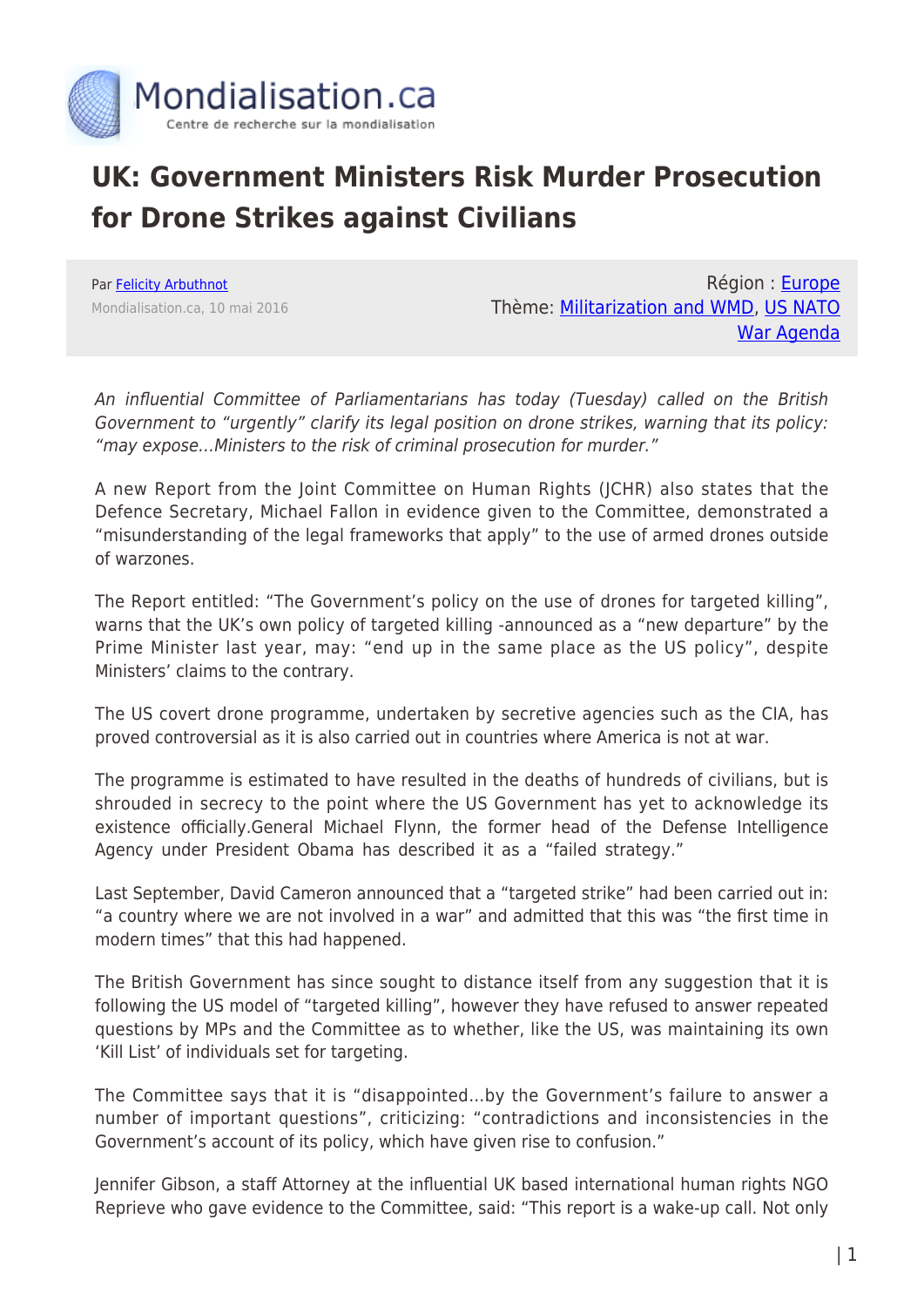

## **UK: Government Ministers Risk Murder Prosecution for Drone Strikes against Civilians**

Par [Felicity Arbuthnot](https://www.mondialisation.ca/author/felicity-arbuthnot) Mondialisation.ca, 10 mai 2016

Région : [Europe](https://www.mondialisation.ca/region/europe) Thème: [Militarization and WMD,](https://www.mondialisation.ca/theme/militarization-and-wmd) [US NATO](https://www.mondialisation.ca/theme/us-nato-war-agenda) [War Agenda](https://www.mondialisation.ca/theme/us-nato-war-agenda)

An influential Committee of Parliamentarians has today (Tuesday) called on the British Government to "urgently" clarify its legal position on drone strikes, warning that its policy: "may expose…Ministers to the risk of criminal prosecution for murder."

A new Report from the Joint Committee on Human Rights (JCHR) also states that the Defence Secretary, Michael Fallon in evidence given to the Committee, demonstrated a "misunderstanding of the legal frameworks that apply" to the use of armed drones outside of warzones.

The Report entitled: "The Government's policy on the use of drones for targeted killing", warns that the UK's own policy of targeted killing -announced as a "new departure" by the Prime Minister last year, may: "end up in the same place as the US policy", despite Ministers' claims to the contrary.

The US covert drone programme, undertaken by secretive agencies such as the CIA, has proved controversial as it is also carried out in countries where America is not at war.

The programme is estimated to have resulted in the deaths of hundreds of civilians, but is shrouded in secrecy to the point where the US Government has yet to acknowledge its existence officially.General Michael Flynn, the former head of the Defense Intelligence Agency under President Obama has described it as a "failed strategy."

Last September, David Cameron announced that a "targeted strike" had been carried out in: "a country where we are not involved in a war" and admitted that this was "the first time in modern times" that this had happened.

The British Government has since sought to distance itself from any suggestion that it is following the US model of "targeted killing", however they have refused to answer repeated questions by MPs and the Committee as to whether, like the US, was maintaining its own 'Kill List' of individuals set for targeting.

The Committee says that it is "disappointed…by the Government's failure to answer a number of important questions", criticizing: "contradictions and inconsistencies in the Government's account of its policy, which have given rise to confusion."

Jennifer Gibson, a staff Attorney at the influential UK based international human rights NGO Reprieve who gave evidence to the Committee, said: "This report is a wake-up call. Not only